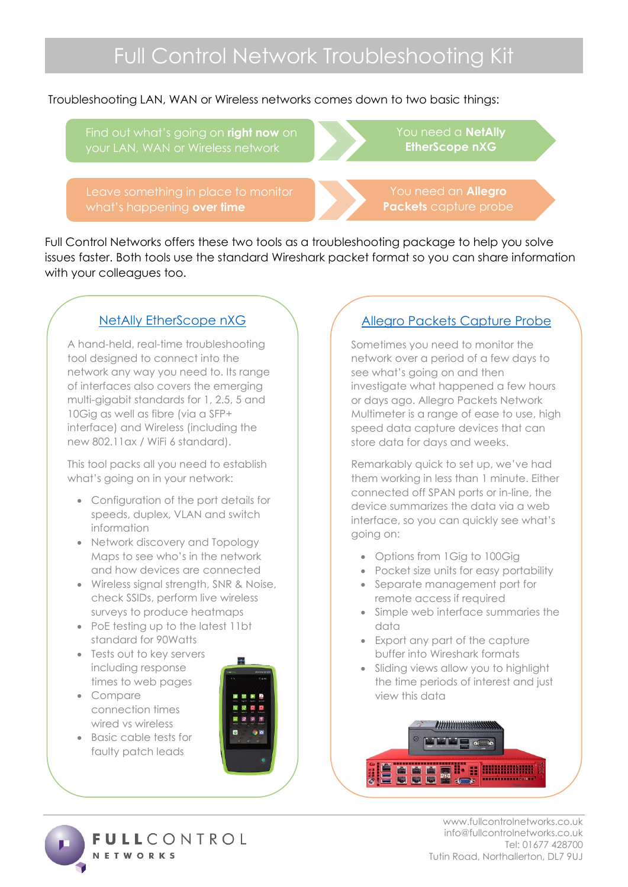Troubleshooting LAN, WAN or Wireless networks comes down to two basic things:

Find out what's going on **right now** on

Leave something in place to monitor what's happening **over time**

You need a **NetAlly EtherScope nXG**

You need an **Allegro Packets** capture probe

Full Control Networks offers these two tools as a troubleshooting package to help you solve issues faster. Both tools use the standard Wireshark packet format so you can share information with your colleagues too.

## [NetAlly EtherScope nXG](https://www.fullcontrolnetworks.co.uk/products/etherscope-nxg-from-netally/)

A hand-held, real-time troubleshooting tool designed to connect into the network any way you need to. Its range of interfaces also covers the emerging multi-gigabit standards for 1, 2.5, 5 and 10Gig as well as fibre (via a SFP+ interface) and Wireless (including the new 802.11ax / WiFi 6 standard).

This tool packs all you need to establish what's going on in your network:

- Configuration of the port details for speeds, duplex, VLAN and switch information
- Network discovery and Topology Maps to see who's in the network and how devices are connected
- Wireless signal strength, SNR & Noise, check SSIDs, perform live wireless surveys to produce heatmaps
- PoE testing up to the latest 11bt standard for 90Watts
- Tests out to key servers including response times to web pages
- Compare connection times wired vs wireless
- Basic cable tests for faulty patch leads



# [Allegro Packets Capture Probe](https://www.fullcontrolnetworks.co.uk/products/allegro-packets/)

Sometimes you need to monitor the network over a period of a few days to see what's going on and then investigate what happened a few hours or days ago. Allegro Packets Network Multimeter is a range of ease to use, high speed data capture devices that can store data for days and weeks.

Remarkably quick to set up, we've had them working in less than 1 minute. Either connected off SPAN ports or in-line, the device summarizes the data via a web interface, so you can quickly see what's going on:

- Options from 1 Gig to 100 Gig
- Pocket size units for easy portability
- Separate management port for remote access if required
- Simple web interface summaries the data
- Export any part of the capture buffer into Wireshark formats
- Sliding views allow you to highlight the time periods of interest and just view this data



**ULLCONTROL NETWORKS** 

www.fullcontrolnetworks.co.uk info@fullcontrolnetworks.co.uk Tel: 01677 428700 Tutin Road, Northallerton, DL7 9UJ